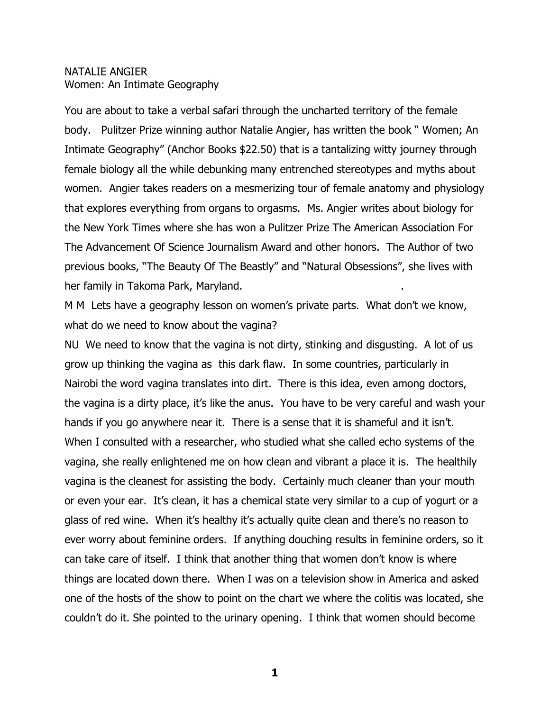## NATALIE ANGIER Women: An Intimate Geography

You are about to take a verbal safari through the uncharted territory of the female body. Pulitzer Prize winning author Natalie Angier, has written the book " Women; An Intimate Geography" (Anchor Books \$22.50) that is a tantalizing witty journey through female biology all the while debunking many entrenched stereotypes and myths about women. Angier takes readers on a mesmerizing tour of female anatomy and physiology that explores everything from organs to orgasms. Ms. Angier writes about biology for the New York Times where she has won a Pulitzer Prize The American Association For The Advancement Of Science Journalism Award and other honors. The Author of two previous books, "The Beauty Of The Beastly" and "Natural Obsessions", she lives with her family in Takoma Park, Maryland. .

M M Lets have a geography lesson on women's private parts. What don't we know, what do we need to know about the vagina?

NU We need to know that the vagina is not dirty, stinking and disgusting. A lot of us grow up thinking the vagina as this dark flaw. In some countries, particularly in Nairobi the word vagina translates into dirt. There is this idea, even among doctors, the vagina is a dirty place, it's like the anus. You have to be very careful and wash your hands if you go anywhere near it. There is a sense that it is shameful and it isn't. When I consulted with a researcher, who studied what she called echo systems of the vagina, she really enlightened me on how clean and vibrant a place it is. The healthily vagina is the cleanest for assisting the body. Certainly much cleaner than your mouth or even your ear. It's clean, it has a chemical state very similar to a cup of yogurt or a glass of red wine. When it's healthy it's actually quite clean and there's no reason to ever worry about feminine orders. If anything douching results in feminine orders, so it can take care of itself. I think that another thing that women don't know is where things are located down there. When I was on a television show in America and asked one of the hosts of the show to point on the chart we where the colitis was located, she couldn't do it. She pointed to the urinary opening. I think that women should become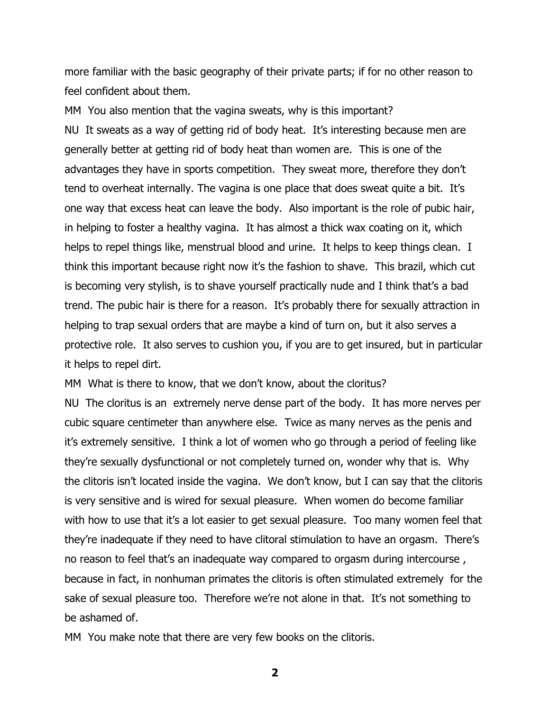more familiar with the basic geography of their private parts; if for no other reason to feel confident about them.

MM You also mention that the vagina sweats, why is this important? NU It sweats as a way of getting rid of body heat. It's interesting because men are generally better at getting rid of body heat than women are. This is one of the advantages they have in sports competition. They sweat more, therefore they don't tend to overheat internally. The vagina is one place that does sweat quite a bit. It's one way that excess heat can leave the body. Also important is the role of pubic hair, in helping to foster a healthy vagina. It has almost a thick wax coating on it, which helps to repel things like, menstrual blood and urine. It helps to keep things clean. I think this important because right now it's the fashion to shave. This brazil, which cut is becoming very stylish, is to shave yourself practically nude and I think that's a bad trend. The pubic hair is there for a reason. It's probably there for sexually attraction in helping to trap sexual orders that are maybe a kind of turn on, but it also serves a protective role. It also serves to cushion you, if you are to get insured, but in particular it helps to repel dirt.

MM What is there to know, that we don't know, about the cloritus?

NU The cloritus is an extremely nerve dense part of the body. It has more nerves per cubic square centimeter than anywhere else. Twice as many nerves as the penis and it's extremely sensitive. I think a lot of women who go through a period of feeling like they're sexually dysfunctional or not completely turned on, wonder why that is. Why the clitoris isn't located inside the vagina. We don't know, but I can say that the clitoris is very sensitive and is wired for sexual pleasure. When women do become familiar with how to use that it's a lot easier to get sexual pleasure. Too many women feel that they're inadequate if they need to have clitoral stimulation to have an orgasm. There's no reason to feel that's an inadequate way compared to orgasm during intercourse , because in fact, in nonhuman primates the clitoris is often stimulated extremely for the sake of sexual pleasure too. Therefore we're not alone in that. It's not something to be ashamed of.

MM You make note that there are very few books on the clitoris.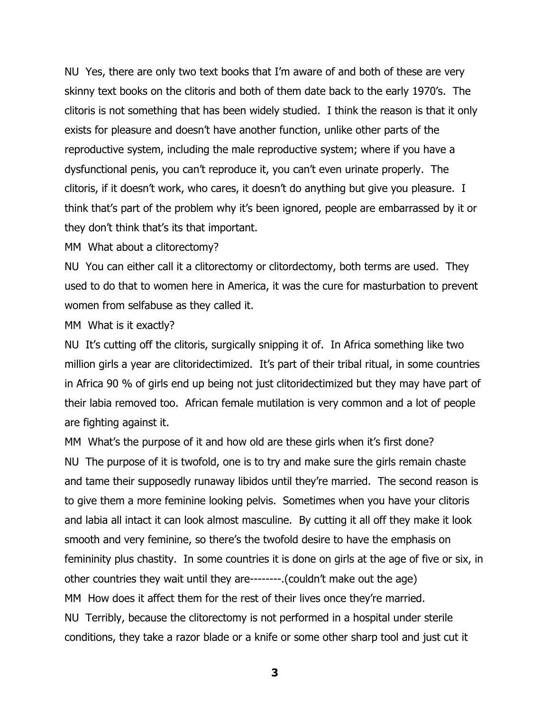NU Yes, there are only two text books that I'm aware of and both of these are very skinny text books on the clitoris and both of them date back to the early 1970's. The clitoris is not something that has been widely studied. I think the reason is that it only exists for pleasure and doesn't have another function, unlike other parts of the reproductive system, including the male reproductive system; where if you have a dysfunctional penis, you can't reproduce it, you can't even urinate properly. The clitoris, if it doesn't work, who cares, it doesn't do anything but give you pleasure. I think that's part of the problem why it's been ignored, people are embarrassed by it or they don't think that's its that important.

MM What about a clitorectomy?

NU You can either call it a clitorectomy or clitordectomy, both terms are used. They used to do that to women here in America, it was the cure for masturbation to prevent women from selfabuse as they called it.

MM What is it exactly?

NU It's cutting off the clitoris, surgically snipping it of. In Africa something like two million girls a year are clitoridectimized. It's part of their tribal ritual, in some countries in Africa 90 % of girls end up being not just clitoridectimized but they may have part of their labia removed too. African female mutilation is very common and a lot of people are fighting against it.

MM What's the purpose of it and how old are these girls when it's first done? NU The purpose of it is twofold, one is to try and make sure the girls remain chaste and tame their supposedly runaway libidos until they're married. The second reason is to give them a more feminine looking pelvis. Sometimes when you have your clitoris and labia all intact it can look almost masculine. By cutting it all off they make it look smooth and very feminine, so there's the twofold desire to have the emphasis on femininity plus chastity. In some countries it is done on girls at the age of five or six, in other countries they wait until they are--------.(couldn't make out the age) MM How does it affect them for the rest of their lives once they're married. NU Terribly, because the clitorectomy is not performed in a hospital under sterile conditions, they take a razor blade or a knife or some other sharp tool and just cut it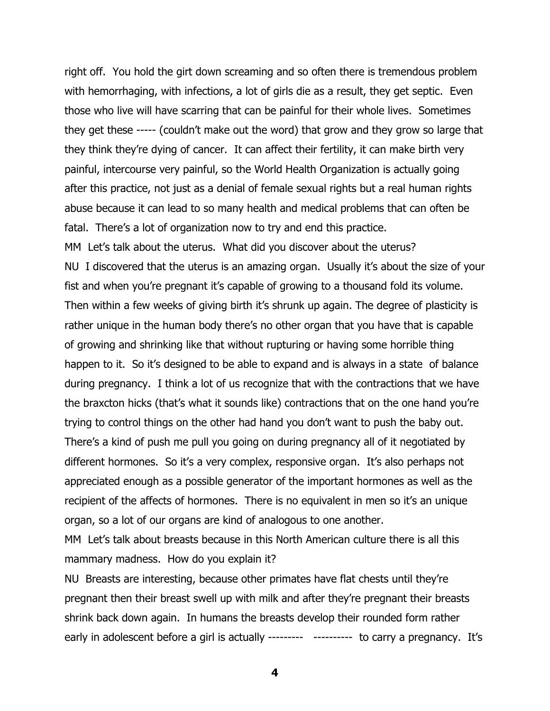right off. You hold the girt down screaming and so often there is tremendous problem with hemorrhaging, with infections, a lot of girls die as a result, they get septic. Even those who live will have scarring that can be painful for their whole lives. Sometimes they get these ----- (couldn't make out the word) that grow and they grow so large that they think they're dying of cancer. It can affect their fertility, it can make birth very painful, intercourse very painful, so the World Health Organization is actually going after this practice, not just as a denial of female sexual rights but a real human rights abuse because it can lead to so many health and medical problems that can often be fatal. There's a lot of organization now to try and end this practice. MM Let's talk about the uterus. What did you discover about the uterus? NU I discovered that the uterus is an amazing organ. Usually it's about the size of your fist and when you're pregnant it's capable of growing to a thousand fold its volume. Then within a few weeks of giving birth it's shrunk up again. The degree of plasticity is rather unique in the human body there's no other organ that you have that is capable of growing and shrinking like that without rupturing or having some horrible thing happen to it. So it's designed to be able to expand and is always in a state of balance during pregnancy. I think a lot of us recognize that with the contractions that we have the braxcton hicks (that's what it sounds like) contractions that on the one hand you're trying to control things on the other had hand you don't want to push the baby out. There's a kind of push me pull you going on during pregnancy all of it negotiated by different hormones. So it's a very complex, responsive organ. It's also perhaps not appreciated enough as a possible generator of the important hormones as well as the recipient of the affects of hormones. There is no equivalent in men so it's an unique organ, so a lot of our organs are kind of analogous to one another.

MM Let's talk about breasts because in this North American culture there is all this mammary madness. How do you explain it?

NU Breasts are interesting, because other primates have flat chests until they're pregnant then their breast swell up with milk and after they're pregnant their breasts shrink back down again. In humans the breasts develop their rounded form rather early in adolescent before a girl is actually --------- ---------- to carry a pregnancy. It's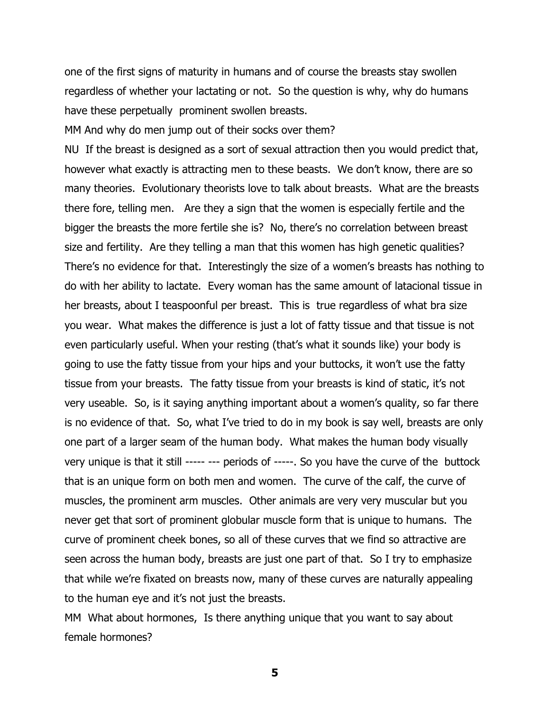one of the first signs of maturity in humans and of course the breasts stay swollen regardless of whether your lactating or not. So the question is why, why do humans have these perpetually prominent swollen breasts.

MM And why do men jump out of their socks over them?

NU If the breast is designed as a sort of sexual attraction then you would predict that, however what exactly is attracting men to these beasts. We don't know, there are so many theories. Evolutionary theorists love to talk about breasts. What are the breasts there fore, telling men. Are they a sign that the women is especially fertile and the bigger the breasts the more fertile she is? No, there's no correlation between breast size and fertility. Are they telling a man that this women has high genetic qualities? There's no evidence for that. Interestingly the size of a women's breasts has nothing to do with her ability to lactate. Every woman has the same amount of latacional tissue in her breasts, about I teaspoonful per breast. This is true regardless of what bra size you wear. What makes the difference is just a lot of fatty tissue and that tissue is not even particularly useful. When your resting (that's what it sounds like) your body is going to use the fatty tissue from your hips and your buttocks, it won't use the fatty tissue from your breasts. The fatty tissue from your breasts is kind of static, it's not very useable. So, is it saying anything important about a women's quality, so far there is no evidence of that. So, what I've tried to do in my book is say well, breasts are only one part of a larger seam of the human body. What makes the human body visually very unique is that it still ----- --- periods of -----. So you have the curve of the buttock that is an unique form on both men and women. The curve of the calf, the curve of muscles, the prominent arm muscles. Other animals are very very muscular but you never get that sort of prominent globular muscle form that is unique to humans. The curve of prominent cheek bones, so all of these curves that we find so attractive are seen across the human body, breasts are just one part of that. So I try to emphasize that while we're fixated on breasts now, many of these curves are naturally appealing to the human eye and it's not just the breasts.

MM What about hormones, Is there anything unique that you want to say about female hormones?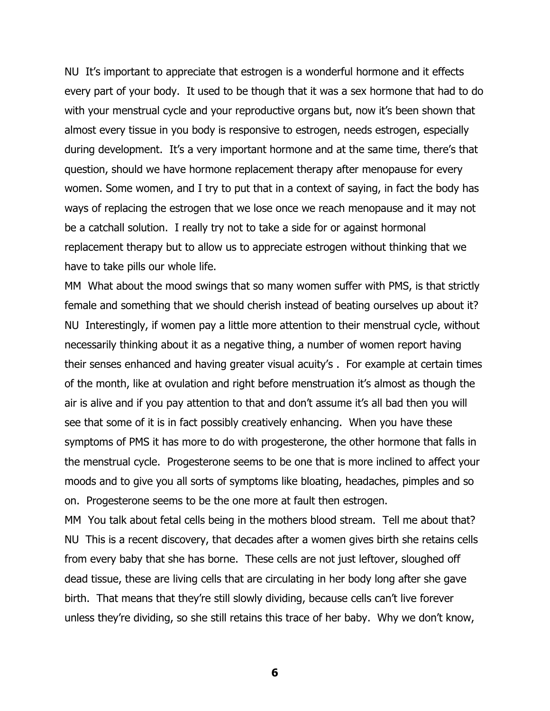NU It's important to appreciate that estrogen is a wonderful hormone and it effects every part of your body. It used to be though that it was a sex hormone that had to do with your menstrual cycle and your reproductive organs but, now it's been shown that almost every tissue in you body is responsive to estrogen, needs estrogen, especially during development. It's a very important hormone and at the same time, there's that question, should we have hormone replacement therapy after menopause for every women. Some women, and I try to put that in a context of saying, in fact the body has ways of replacing the estrogen that we lose once we reach menopause and it may not be a catchall solution. I really try not to take a side for or against hormonal replacement therapy but to allow us to appreciate estrogen without thinking that we have to take pills our whole life.

MM What about the mood swings that so many women suffer with PMS, is that strictly female and something that we should cherish instead of beating ourselves up about it? NU Interestingly, if women pay a little more attention to their menstrual cycle, without necessarily thinking about it as a negative thing, a number of women report having their senses enhanced and having greater visual acuity's . For example at certain times of the month, like at ovulation and right before menstruation it's almost as though the air is alive and if you pay attention to that and don't assume it's all bad then you will see that some of it is in fact possibly creatively enhancing. When you have these symptoms of PMS it has more to do with progesterone, the other hormone that falls in the menstrual cycle. Progesterone seems to be one that is more inclined to affect your moods and to give you all sorts of symptoms like bloating, headaches, pimples and so on. Progesterone seems to be the one more at fault then estrogen.

MM You talk about fetal cells being in the mothers blood stream. Tell me about that? NU This is a recent discovery, that decades after a women gives birth she retains cells from every baby that she has borne. These cells are not just leftover, sloughed off dead tissue, these are living cells that are circulating in her body long after she gave birth. That means that they're still slowly dividing, because cells can't live forever unless they're dividing, so she still retains this trace of her baby. Why we don't know,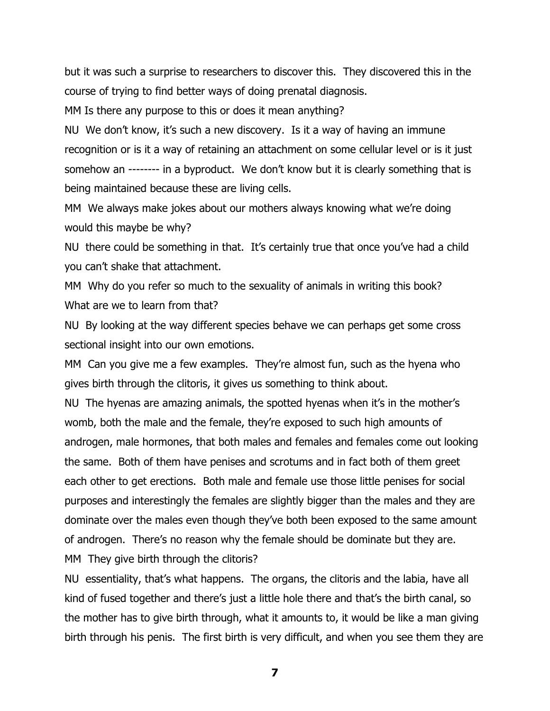but it was such a surprise to researchers to discover this. They discovered this in the course of trying to find better ways of doing prenatal diagnosis.

MM Is there any purpose to this or does it mean anything?

NU We don't know, it's such a new discovery. Is it a way of having an immune recognition or is it a way of retaining an attachment on some cellular level or is it just somehow an -------- in a byproduct. We don't know but it is clearly something that is being maintained because these are living cells.

MM We always make jokes about our mothers always knowing what we're doing would this maybe be why?

NU there could be something in that. It's certainly true that once you've had a child you can't shake that attachment.

MM Why do you refer so much to the sexuality of animals in writing this book? What are we to learn from that?

NU By looking at the way different species behave we can perhaps get some cross sectional insight into our own emotions.

MM Can you give me a few examples. They're almost fun, such as the hyena who gives birth through the clitoris, it gives us something to think about.

NU The hyenas are amazing animals, the spotted hyenas when it's in the mother's womb, both the male and the female, they're exposed to such high amounts of androgen, male hormones, that both males and females and females come out looking the same. Both of them have penises and scrotums and in fact both of them greet each other to get erections. Both male and female use those little penises for social purposes and interestingly the females are slightly bigger than the males and they are dominate over the males even though they've both been exposed to the same amount of androgen. There's no reason why the female should be dominate but they are. MM They give birth through the clitoris?

NU essentiality, that's what happens. The organs, the clitoris and the labia, have all kind of fused together and there's just a little hole there and that's the birth canal, so the mother has to give birth through, what it amounts to, it would be like a man giving birth through his penis. The first birth is very difficult, and when you see them they are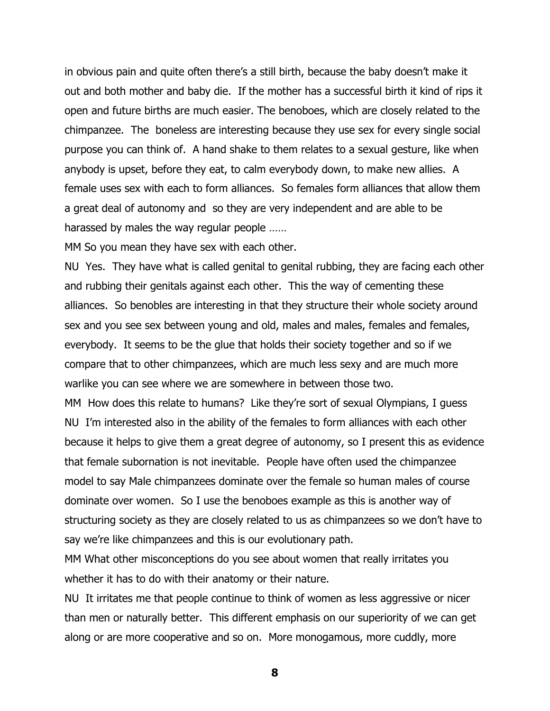in obvious pain and quite often there's a still birth, because the baby doesn't make it out and both mother and baby die. If the mother has a successful birth it kind of rips it open and future births are much easier. The benoboes, which are closely related to the chimpanzee. The boneless are interesting because they use sex for every single social purpose you can think of. A hand shake to them relates to a sexual gesture, like when anybody is upset, before they eat, to calm everybody down, to make new allies. A female uses sex with each to form alliances. So females form alliances that allow them a great deal of autonomy and so they are very independent and are able to be harassed by males the way regular people ……

MM So you mean they have sex with each other.

NU Yes. They have what is called genital to genital rubbing, they are facing each other and rubbing their genitals against each other. This the way of cementing these alliances. So benobles are interesting in that they structure their whole society around sex and you see sex between young and old, males and males, females and females, everybody. It seems to be the glue that holds their society together and so if we compare that to other chimpanzees, which are much less sexy and are much more warlike you can see where we are somewhere in between those two.

MM How does this relate to humans? Like they're sort of sexual Olympians, I guess NU I'm interested also in the ability of the females to form alliances with each other because it helps to give them a great degree of autonomy, so I present this as evidence that female subornation is not inevitable. People have often used the chimpanzee model to say Male chimpanzees dominate over the female so human males of course dominate over women. So I use the benoboes example as this is another way of structuring society as they are closely related to us as chimpanzees so we don't have to say we're like chimpanzees and this is our evolutionary path.

MM What other misconceptions do you see about women that really irritates you whether it has to do with their anatomy or their nature.

NU It irritates me that people continue to think of women as less aggressive or nicer than men or naturally better. This different emphasis on our superiority of we can get along or are more cooperative and so on. More monogamous, more cuddly, more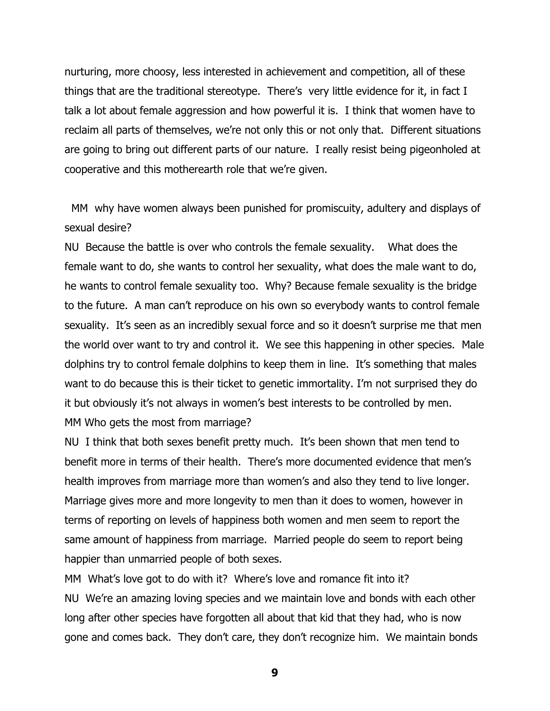nurturing, more choosy, less interested in achievement and competition, all of these things that are the traditional stereotype. There's very little evidence for it, in fact I talk a lot about female aggression and how powerful it is. I think that women have to reclaim all parts of themselves, we're not only this or not only that. Different situations are going to bring out different parts of our nature. I really resist being pigeonholed at cooperative and this motherearth role that we're given.

MM why have women always been punished for promiscuity, adultery and displays of sexual desire?

NU Because the battle is over who controls the female sexuality. What does the female want to do, she wants to control her sexuality, what does the male want to do, he wants to control female sexuality too. Why? Because female sexuality is the bridge to the future. A man can't reproduce on his own so everybody wants to control female sexuality. It's seen as an incredibly sexual force and so it doesn't surprise me that men the world over want to try and control it. We see this happening in other species. Male dolphins try to control female dolphins to keep them in line. It's something that males want to do because this is their ticket to genetic immortality. I'm not surprised they do it but obviously it's not always in women's best interests to be controlled by men. MM Who gets the most from marriage?

NU I think that both sexes benefit pretty much. It's been shown that men tend to benefit more in terms of their health. There's more documented evidence that men's health improves from marriage more than women's and also they tend to live longer. Marriage gives more and more longevity to men than it does to women, however in terms of reporting on levels of happiness both women and men seem to report the same amount of happiness from marriage. Married people do seem to report being happier than unmarried people of both sexes.

MM What's love got to do with it? Where's love and romance fit into it? NU We're an amazing loving species and we maintain love and bonds with each other long after other species have forgotten all about that kid that they had, who is now gone and comes back. They don't care, they don't recognize him. We maintain bonds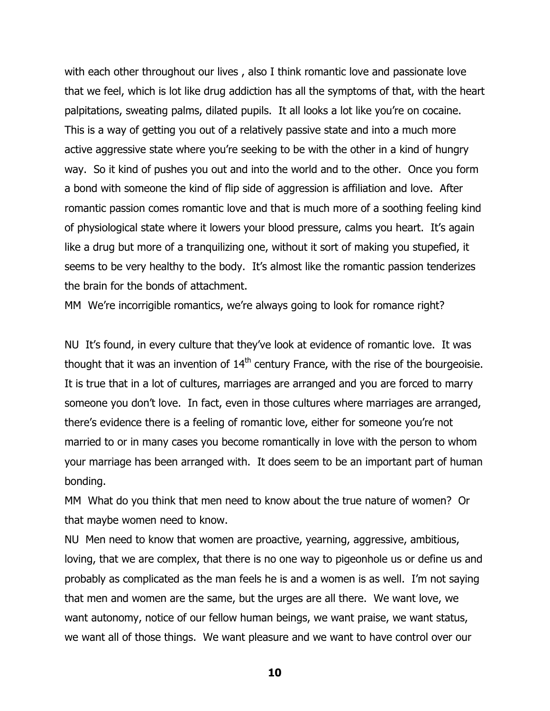with each other throughout our lives, also I think romantic love and passionate love that we feel, which is lot like drug addiction has all the symptoms of that, with the heart palpitations, sweating palms, dilated pupils. It all looks a lot like you're on cocaine. This is a way of getting you out of a relatively passive state and into a much more active aggressive state where you're seeking to be with the other in a kind of hungry way. So it kind of pushes you out and into the world and to the other. Once you form a bond with someone the kind of flip side of aggression is affiliation and love. After romantic passion comes romantic love and that is much more of a soothing feeling kind of physiological state where it lowers your blood pressure, calms you heart. It's again like a drug but more of a tranquilizing one, without it sort of making you stupefied, it seems to be very healthy to the body. It's almost like the romantic passion tenderizes the brain for the bonds of attachment.

MM We're incorrigible romantics, we're always going to look for romance right?

NU It's found, in every culture that they've look at evidence of romantic love. It was thought that it was an invention of  $14<sup>th</sup>$  century France, with the rise of the bourgeoisie. It is true that in a lot of cultures, marriages are arranged and you are forced to marry someone you don't love. In fact, even in those cultures where marriages are arranged, there's evidence there is a feeling of romantic love, either for someone you're not married to or in many cases you become romantically in love with the person to whom your marriage has been arranged with. It does seem to be an important part of human bonding.

MM What do you think that men need to know about the true nature of women? Or that maybe women need to know.

NU Men need to know that women are proactive, yearning, aggressive, ambitious, loving, that we are complex, that there is no one way to pigeonhole us or define us and probably as complicated as the man feels he is and a women is as well. I'm not saying that men and women are the same, but the urges are all there. We want love, we want autonomy, notice of our fellow human beings, we want praise, we want status, we want all of those things. We want pleasure and we want to have control over our